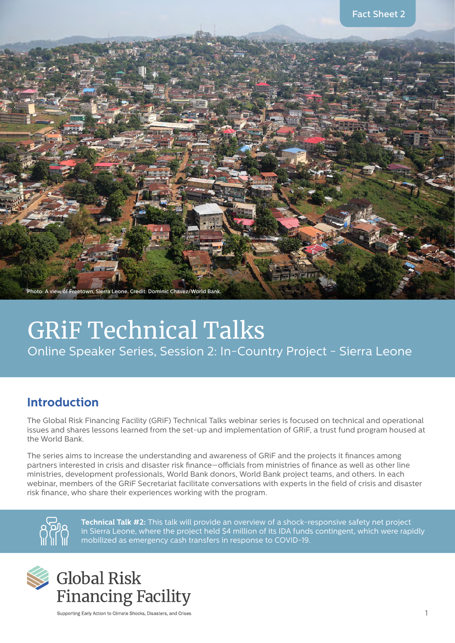

# GRiF Technical Talks Online Speaker Series, Session 2: In-Country Project - Sierra Leone

# **Introduction**

The Global Risk Financing Facility (GRiF) Technical Talks webinar series is focused on technical and operational issues and shares lessons learned from the set-up and implementation of GRiF, a trust fund program housed at the World Bank.

The series aims to increase the understanding and awareness of GRIF and the projects it finances among partners interested in crisis and disaster risk finance—officials from ministries of finance as well as other line ministries, development professionals, World Bank donors, World Bank project teams, and others. In each webinar, members of the GRiF Secretariat facilitate conversations with experts in the field of crisis and disaster risk finance, who share their experiences working with the program.



**Technical Talk #2:** This talk will provide an overview of a shock-responsive safety net project in Sierra Leone, where the project held \$4 million of its IDA funds contingent, which were rapidly mobilized as emergency cash transfers in response to COVID-19.



Supporting Early Action to Climate Shocks, Disasters, and Crises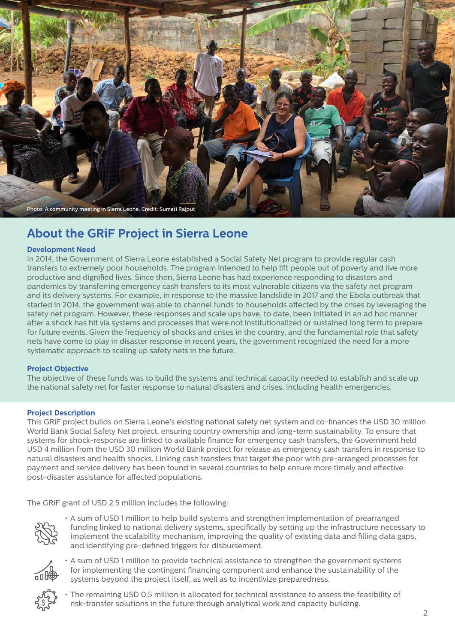

## **About the GRiF Project in Sierra Leone**

#### **Development Need**

In 2014, the Government of Sierra Leone established a Social Safety Net program to provide regular cash transfers to extremely poor households. The program intended to help lift people out of poverty and live more productive and dignified lives. Since then, Sierra Leone has had experience responding to disasters and pandemics by transferring emergency cash transfers to its most vulnerable citizens via the safety net program and its delivery systems. For example, in response to the massive landslide in 2017 and the Ebola outbreak that started in 2014, the government was able to channel funds to households affected by the crises by leveraging the safety net program. However, these responses and scale ups have, to date, been initiated in an ad hoc manner after a shock has hit via systems and processes that were not institutionalized or sustained long term to prepare for future events. Given the frequency of shocks and crises in the country, and the fundamental role that safety nets have come to play in disaster response in recent years, the government recognized the need for a more systematic approach to scaling up safety nets in the future.

#### **Project Objective**

The objective of these funds was to build the systems and technical capacity needed to establish and scale up the national safety net for faster response to natural disasters and crises, including health emergencies.

#### **Project Description**

This GRIF project builds on Sierra Leone's existing national safety net system and co-finances the USD 30 million World Bank Social Safety Net project, ensuring country ownership and long-term sustainability. To ensure that systems for shock-response are linked to available finance for emergency cash transfers, the Government held USD 4 million from the USD 30 million World Bank project for release as emergency cash transfers in response to natural disasters and health shocks. Linking cash transfers that target the poor with pre-arranged processes for payment and service delivery has been found in several countries to help ensure more timely and effective post-disaster assistance for affected populations.

The GRiF grant of USD 2.5 million includes the following:



 • A sum of USD 1 million to help build systems and strengthen implementation of prearranged funding linked to national delivery systems, specifically by setting up the infrastructure necessary to implement the scalability mechanism, improving the quality of existing data and filling data gaps, and identifying pre-defined triggers for disbursement.



 • A sum of USD 1 million to provide technical assistance to strengthen the government systems for implementing the contingent financing component and enhance the sustainability of the systems beyond the project itself, as well as to incentivize preparedness.



 • The remaining USD 0.5 million is allocated for technical assistance to assess the feasibility of risk-transfer solutions in the future through analytical work and capacity building.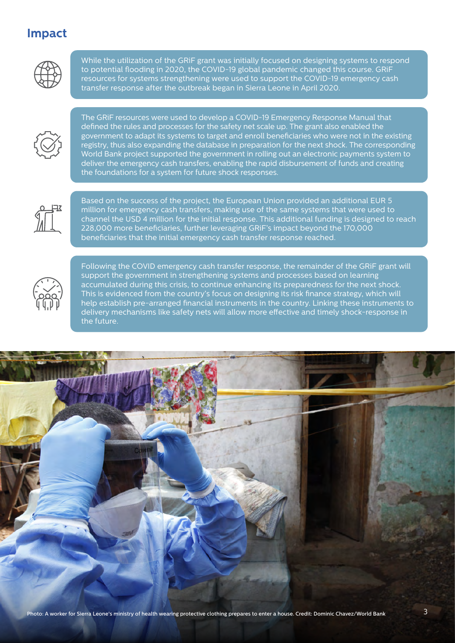### **Impact**



While the utilization of the GRiF grant was initially focused on designing systems to respond to potential flooding in 2020, the COVID-19 global pandemic changed this course. GRiF resources for systems strengthening were used to support the COVID-19 emergency cash transfer response after the outbreak began in Sierra Leone in April 2020.



The GRiF resources were used to develop a COVID-19 Emergency Response Manual that defined the rules and processes for the safety net scale up. The grant also enabled the government to adapt its systems to target and enroll beneficiaries who were not in the existing registry, thus also expanding the database in preparation for the next shock. The corresponding World Bank project supported the government in rolling out an electronic payments system to deliver the emergency cash transfers, enabling the rapid disbursement of funds and creating the foundations for a system for future shock responses.



Based on the success of the project, the European Union provided an additional EUR 5 million for emergency cash transfers, making use of the same systems that were used to channel the USD 4 million for the initial response. This additional funding is designed to reach 228,000 more beneficiaries, further leveraging GRiF's impact beyond the 170,000 beneficiaries that the initial emergency cash transfer response reached.



Following the COVID emergency cash transfer response, the remainder of the GRiF grant will support the government in strengthening systems and processes based on learning accumulated during this crisis, to continue enhancing its preparedness for the next shock. This is evidenced from the country's focus on designing its risk finance strategy, which will help establish pre-arranged financial instruments in the country. Linking these instruments to delivery mechanisms like safety nets will allow more effective and timely shock-response in the future.